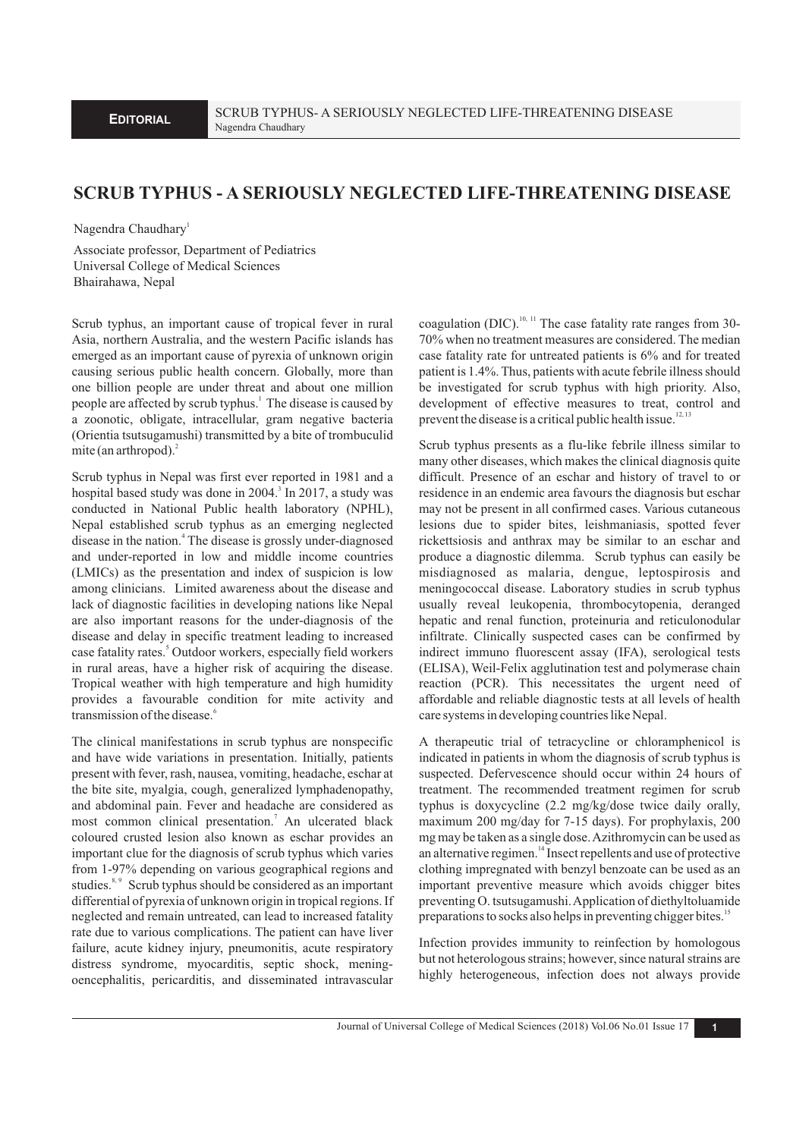## **SCRUB TYPHUS - A SERIOUSLY NEGLECTED LIFE-THREATENING DISEASE**

Nagendra Chaudhary<sup>1</sup>

Associate professor, Department of Pediatrics Universal College of Medical Sciences Bhairahawa, Nepal

Scrub typhus, an important cause of tropical fever in rural Asia, northern Australia, and the western Pacific islands has emerged as an important cause of pyrexia of unknown origin causing serious public health concern. Globally, more than one billion people are under threat and about one million people are affected by scrub typhus.<sup>1</sup> The disease is caused by a zoonotic, obligate, intracellular, gram negative bacteria (Orientia tsutsugamushi) transmitted by a bite of trombuculid mite (an arthropod). $<sup>2</sup>$ </sup>

Scrub typhus in Nepal was first ever reported in 1981 and a hospital based study was done in 2004.<sup>3</sup> In 2017, a study was conducted in National Public health laboratory (NPHL), Nepal established scrub typhus as an emerging neglected disease in the nation.<sup>4</sup> The disease is grossly under-diagnosed and under-reported in low and middle income countries (LMICs) as the presentation and index of suspicion is low among clinicians. Limited awareness about the disease and lack of diagnostic facilities in developing nations like Nepal are also important reasons for the under-diagnosis of the disease and delay in specific treatment leading to increased case fatality rates.<sup>5</sup> Outdoor workers, especially field workers in rural areas, have a higher risk of acquiring the disease. Tropical weather with high temperature and high humidity provides a favourable condition for mite activity and transmission of the disease.<sup>6</sup>

The clinical manifestations in scrub typhus are nonspecific and have wide variations in presentation. Initially, patients present with fever, rash, nausea, vomiting, headache, eschar at the bite site, myalgia, cough, generalized lymphadenopathy, and abdominal pain. Fever and headache are considered as most common clinical presentation.<sup>7</sup> An ulcerated black coloured crusted lesion also known as eschar provides an important clue for the diagnosis of scrub typhus which varies from 1-97% depending on various geographical regions and studies.<sup>8, 9</sup> Scrub typhus should be considered as an important differential of pyrexia of unknown origin in tropical regions. If neglected and remain untreated, can lead to increased fatality rate due to various complications. The patient can have liver failure, acute kidney injury, pneumonitis, acute respiratory distress syndrome, myocarditis, septic shock, meningoencephalitis, pericarditis, and disseminated intravascular coagulation (DIC).<sup>10, 11</sup> The case fatality rate ranges from 30-70% when no treatment measures are considered. The median case fatality rate for untreated patients is 6% and for treated patient is 1.4%. Thus, patients with acute febrile illness should be investigated for scrub typhus with high priority. Also, development of effective measures to treat, control and prevent the disease is a critical public health issue.<sup>12, 12</sup>

Scrub typhus presents as a flu-like febrile illness similar to many other diseases, which makes the clinical diagnosis quite difficult. Presence of an eschar and history of travel to or residence in an endemic area favours the diagnosis but eschar may not be present in all confirmed cases. Various cutaneous lesions due to spider bites, leishmaniasis, spotted fever rickettsiosis and anthrax may be similar to an eschar and produce a diagnostic dilemma. Scrub typhus can easily be misdiagnosed as malaria, dengue, leptospirosis and meningococcal disease. Laboratory studies in scrub typhus usually reveal leukopenia, thrombocytopenia, deranged hepatic and renal function, proteinuria and reticulonodular infiltrate. Clinically suspected cases can be confirmed by indirect immuno fluorescent assay (IFA), serological tests (ELISA), Weil-Felix agglutination test and polymerase chain reaction (PCR). This necessitates the urgent need of affordable and reliable diagnostic tests at all levels of health care systems in developing countries like Nepal.

A therapeutic trial of tetracycline or chloramphenicol is indicated in patients in whom the diagnosis of scrub typhus is suspected. Defervescence should occur within 24 hours of treatment. The recommended treatment regimen for scrub typhus is doxycycline (2.2 mg/kg/dose twice daily orally, maximum 200 mg/day for 7-15 days). For prophylaxis, 200 mg may be taken as a single dose. Azithromycin can be used as an alternative regimen.<sup>14</sup> Insect repellents and use of protective clothing impregnated with benzyl benzoate can be used as an important preventive measure which avoids chigger bites preventing O. tsutsugamushi. Application of diethyltoluamide preparations to socks also helps in preventing chigger bites.<sup>15</sup>

Infection provides immunity to reinfection by homologous but not heterologous strains; however, since natural strains are highly heterogeneous, infection does not always provide